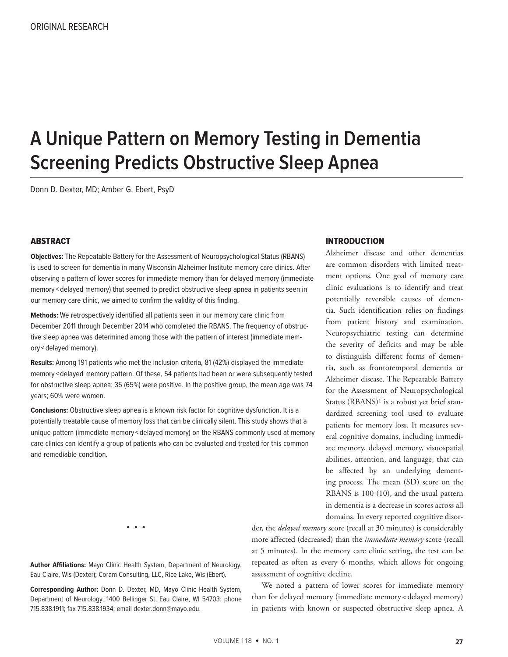# **A Unique Pattern on Memory Testing in Dementia Screening Predicts Obstructive Sleep Apnea**

Donn D. Dexter, MD; Amber G. Ebert, PsyD

### **ABSTRACT**

**Objectives:** The Repeatable Battery for the Assessment of Neuropsychological Status (RBANS) is used to screen for dementia in many Wisconsin Alzheimer Institute memory care clinics. After observing a pattern of lower scores for immediate memory than for delayed memory (immediate memory < delayed memory) that seemed to predict obstructive sleep apnea in patients seen in our memory care clinic, we aimed to confirm the validity of this finding.

**Methods:** We retrospectively identified all patients seen in our memory care clinic from December 2011 through December 2014 who completed the RBANS. The frequency of obstructive sleep apnea was determined among those with the pattern of interest (immediate memory < delayed memory).

**Results:** Among 191 patients who met the inclusion criteria, 81 (42%) displayed the immediate memory < delayed memory pattern. Of these, 54 patients had been or were subsequently tested for obstructive sleep apnea; 35 (65%) were positive. In the positive group, the mean age was 74 years; 60% were women.

**Conclusions:** Obstructive sleep apnea is a known risk factor for cognitive dysfunction. It is a potentially treatable cause of memory loss that can be clinically silent. This study shows that a unique pattern (immediate memory < delayed memory) on the RBANS commonly used at memory care clinics can identify a group of patients who can be evaluated and treated for this common and remediable condition.

### INTRODUCTION

Alzheimer disease and other dementias are common disorders with limited treatment options. One goal of memory care clinic evaluations is to identify and treat potentially reversible causes of dementia. Such identification relies on findings from patient history and examination. Neuropsychiatric testing can determine the severity of deficits and may be able to distinguish different forms of dementia, such as frontotemporal dementia or Alzheimer disease. The Repeatable Battery for the Assessment of Neuropsychological Status (RBANS)<sup>1</sup> is a robust yet brief standardized screening tool used to evaluate patients for memory loss. It measures several cognitive domains, including immediate memory, delayed memory, visuospatial abilities, attention, and language, that can be affected by an underlying dementing process. The mean (SD) score on the RBANS is 100 (10), and the usual pattern in dementia is a decrease in scores across all domains. In every reported cognitive disor-

• • •

**Author Affiliations:** Mayo Clinic Health System, Department of Neurology, Eau Claire, Wis (Dexter); Coram Consulting, LLC, Rice Lake, Wis (Ebert).

**Corresponding Author:** Donn D. Dexter, MD, Mayo Clinic Health System, Department of Neurology, 1400 Bellinger St, Eau Claire, WI 54703; phone 715.838.1911; fax 715.838.1934; email dexter.donn@mayo.edu.

der, the *delayed memory* score (recall at 30 minutes) is considerably more affected (decreased) than the *immediate memory* score (recall at 5 minutes). In the memory care clinic setting, the test can be repeated as often as every 6 months, which allows for ongoing assessment of cognitive decline.

We noted a pattern of lower scores for immediate memory than for delayed memory (immediate memory < delayed memory) in patients with known or suspected obstructive sleep apnea. A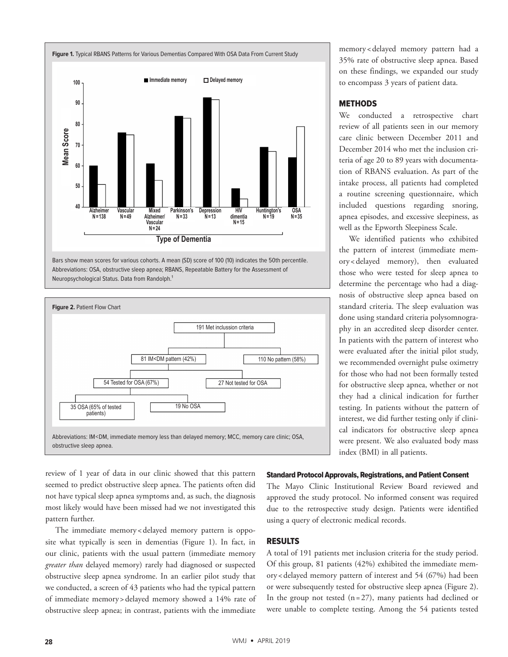

Bars show mean scores for various cohorts. A mean (SD) score of 100 (10) indicates the 50th percentile. Abbreviations: OSA, obstructive sleep apnea; RBANS, Repeatable Battery for the Assessment of Neuropsychological Status. Data from Randolph.<sup>1</sup>



memory <delayed memory pattern had a 35% rate of obstructive sleep apnea. Based on these findings, we expanded our study to encompass 3 years of patient data.

# METHODS

We conducted a retrospective chart review of all patients seen in our memory care clinic between December 2011 and December 2014 who met the inclusion criteria of age 20 to 89 years with documentation of RBANS evaluation. As part of the intake process, all patients had completed a routine screening questionnaire, which included questions regarding snoring, apnea episodes, and excessive sleepiness, as well as the Epworth Sleepiness Scale.

We identified patients who exhibited the pattern of interest (immediate memory<delayed memory), then evaluated those who were tested for sleep apnea to determine the percentage who had a diagnosis of obstructive sleep apnea based on standard criteria. The sleep evaluation was done using standard criteria polysomnography in an accredited sleep disorder center. In patients with the pattern of interest who were evaluated after the initial pilot study, we recommended overnight pulse oximetry for those who had not been formally tested for obstructive sleep apnea, whether or not they had a clinical indication for further testing. In patients without the pattern of interest, we did further testing only if clinical indicators for obstructive sleep apnea were present. We also evaluated body mass index (BMI) in all patients.

review of 1 year of data in our clinic showed that this pattern seemed to predict obstructive sleep apnea. The patients often did not have typical sleep apnea symptoms and, as such, the diagnosis most likely would have been missed had we not investigated this pattern further.

The immediate memory < delayed memory pattern is opposite what typically is seen in dementias (Figure 1). In fact, in our clinic, patients with the usual pattern (immediate memory *greater than* delayed memory) rarely had diagnosed or suspected obstructive sleep apnea syndrome. In an earlier pilot study that we conducted, a screen of 43 patients who had the typical pattern of immediate memory >delayed memory showed a 14% rate of obstructive sleep apnea; in contrast, patients with the immediate

# Standard Protocol Approvals, Registrations, and Patient Consent

The Mayo Clinic Institutional Review Board reviewed and approved the study protocol. No informed consent was required due to the retrospective study design. Patients were identified using a query of electronic medical records.

#### RESULTS

A total of 191 patients met inclusion criteria for the study period. Of this group, 81 patients (42%) exhibited the immediate memory<delayed memory pattern of interest and 54 (67%) had been or were subsequently tested for obstructive sleep apnea (Figure 2). In the group not tested  $(n=27)$ , many patients had declined or were unable to complete testing. Among the 54 patients tested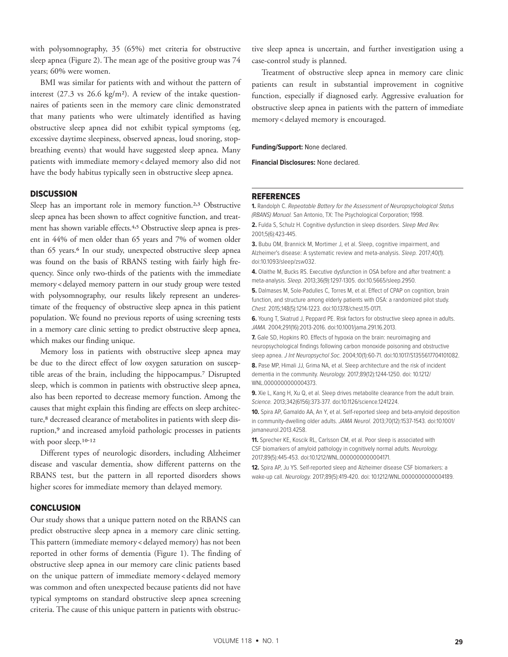with polysomnography, 35 (65%) met criteria for obstructive sleep apnea (Figure 2). The mean age of the positive group was 74 years; 60% were women.

BMI was similar for patients with and without the pattern of interest  $(27.3 \text{ vs } 26.6 \text{ kg/m}^2)$ . A review of the intake questionnaires of patients seen in the memory care clinic demonstrated that many patients who were ultimately identified as having obstructive sleep apnea did not exhibit typical symptoms (eg, excessive daytime sleepiness, observed apneas, loud snoring, stopbreathing events) that would have suggested sleep apnea. Many patients with immediate memory<delayed memory also did not have the body habitus typically seen in obstructive sleep apnea.

## **DISCUSSION**

Sleep has an important role in memory function.<sup>2,3</sup> Obstructive sleep apnea has been shown to affect cognitive function, and treatment has shown variable effects.<sup>4,5</sup> Obstructive sleep apnea is present in 44% of men older than 65 years and 7% of women older than 65 years.<sup>6</sup> In our study, unexpected obstructive sleep apnea was found on the basis of RBANS testing with fairly high frequency. Since only two-thirds of the patients with the immediate memory<delayed memory pattern in our study group were tested with polysomnography, our results likely represent an underestimate of the frequency of obstructive sleep apnea in this patient population. We found no previous reports of using screening tests in a memory care clinic setting to predict obstructive sleep apnea, which makes our finding unique.

Memory loss in patients with obstructive sleep apnea may be due to the direct effect of low oxygen saturation on susceptible areas of the brain, including the hippocampus.7 Disrupted sleep, which is common in patients with obstructive sleep apnea, also has been reported to decrease memory function. Among the causes that might explain this finding are effects on sleep architecture,<sup>8</sup> decreased clearance of metabolites in patients with sleep disruption,<sup>9</sup> and increased amyloid pathologic processes in patients with poor sleep.<sup>10-12</sup>

Different types of neurologic disorders, including Alzheimer disease and vascular dementia, show different patterns on the RBANS test, but the pattern in all reported disorders shows higher scores for immediate memory than delayed memory.

### **CONCLUSION**

Our study shows that a unique pattern noted on the RBANS can predict obstructive sleep apnea in a memory care clinic setting. This pattern (immediate memory < delayed memory) has not been reported in other forms of dementia (Figure 1). The finding of obstructive sleep apnea in our memory care clinic patients based on the unique pattern of immediate memory<delayed memory was common and often unexpected because patients did not have typical symptoms on standard obstructive sleep apnea screening criteria. The cause of this unique pattern in patients with obstructive sleep apnea is uncertain, and further investigation using a case-control study is planned.

Treatment of obstructive sleep apnea in memory care clinic patients can result in substantial improvement in cognitive function, especially if diagnosed early. Aggressive evaluation for obstructive sleep apnea in patients with the pattern of immediate memory <delayed memory is encouraged.

**Funding/Support:** None declared.

**Financial Disclosures:** None declared.

### REFERENCES

**1.** Randolph C. Repeatable Battery for the Assessment of Neuropsychological Status (RBANS) Manual. San Antonio, TX: The Psychological Corporation; 1998.

**2.** Fulda S, Schulz H. Cognitive dysfunction in sleep disorders. Sleep Med Rev. 2001;5(6):423-445.

**3.** Bubu OM, Brannick M, Mortimer J, et al. Sleep, cognitive impairment, and Alzheimer's disease: A systematic review and meta-analysis. Sleep. 2017;40(1). doi:10.1093/sleep/zsw032.

**4.** Olaithe M, Bucks RS. Executive dysfunction in OSA before and after treatment: a meta-analysis. Sleep. 2013;36(9):1297-1305. doi:10.5665/sleep.2950.

**5.** Dalmases M, Sole-Padulles C, Torres M, et al. Effect of CPAP on cognition, brain function, and structure among elderly patients with OSA: a randomized pilot study. Chest. 2015;148(5):1214-1223. doi:10.1378/chest.15-0171.

**6.** Young T, Skatrud J, Peppard PE. Risk factors for obstructive sleep apnea in adults. JAMA. 2004;291(16):2013-2016. doi:10.1001/jama.291.16.2013.

**7.** Gale SD, Hopkins RO. Effects of hypoxia on the brain: neuroimaging and neuropsychological findings following carbon monoxide poisoning and obstructive sleep apnea. J Int Neuropsychol Soc. 2004;10(1):60-71. doi:10.1017/S1355617704101082.

**8.** Pase MP, Himali JJ, Grima NA, et al. Sleep architecture and the risk of incident dementia in the community. Neurology. 2017;89(12):1244-1250. doi: 10.1212/ WNL.0000000000004373.

**9.** Xie L, Kang H, Xu Q, et al. Sleep drives metabolite clearance from the adult brain. Science. 2013;342(6156):373-377. doi:10.1126/science.1241224.

**10.** Spira AP, Gamaldo AA, An Y, et al. Self-reported sleep and beta-amyloid deposition in community-dwelling older adults. JAMA Neurol. 2013;70(12):1537-1543. doi:10.1001/ jamaneurol.2013.4258.

**11.** Sprecher KE, Koscik RL, Carlsson CM, et al. Poor sleep is associated with CSF biomarkers of amyloid pathology in cognitively normal adults. Neurology. 2017;89(5):445-453. doi:10.1212/WNL.0000000000004171.

**12.** Spira AP, Ju YS. Self-reported sleep and Alzheimer disease CSF biomarkers: a wake-up call. Neurology. 2017;89(5):419-420. doi: 10.1212/WNL.0000000000004189.